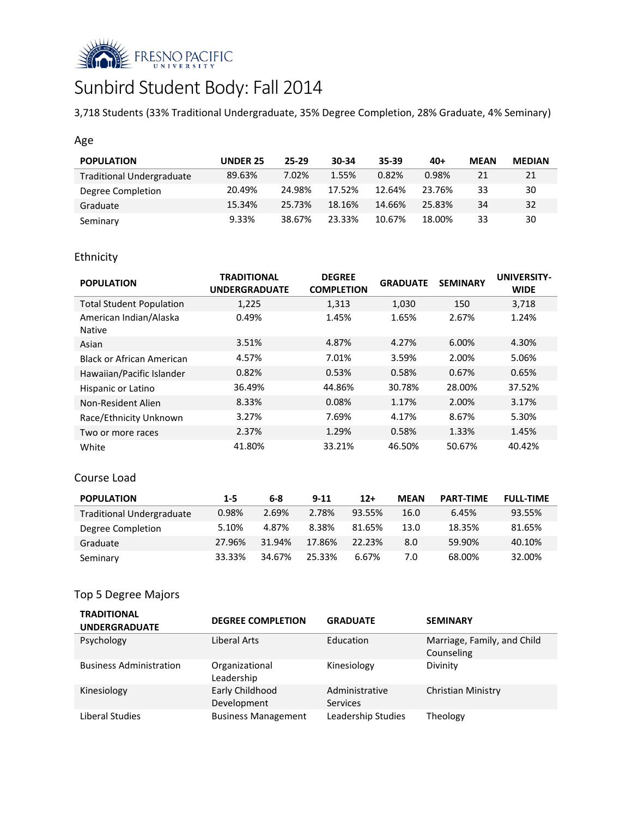

# Sunbird Student Body: Fall 2014

3,718 Students (33% Traditional Undergraduate, 35% Degree Completion, 28% Graduate, 4% Seminary)

## Age

| <b>POPULATION</b>                | UNDER 25 | 25-29  | 30-34  | 35-39  | $40+$  | <b>MEAN</b> | <b>MEDIAN</b> |
|----------------------------------|----------|--------|--------|--------|--------|-------------|---------------|
| <b>Traditional Undergraduate</b> | 89.63%   | 7.02%  | 1.55%  | 0.82%  | 0.98%  | 21          | 21            |
| Degree Completion                | 20.49%   | 24.98% | 17.52% | 12.64% | 23.76% | 33          | 30            |
| Graduate                         | 15.34%   | 25.73% | 18.16% | 14.66% | 25.83% | 34          | 32            |
| Seminary                         | 9.33%    | 38.67% | 23.33% | 10.67% | 18.00% | 33          | 30            |

## Ethnicity

| <b>POPULATION</b>                       | <b>TRADITIONAL</b><br><b>UNDERGRADUATE</b> | <b>DEGREE</b><br><b>COMPLETION</b> | <b>GRADUATE</b> | <b>SEMINARY</b> | <b>UNIVERSITY-</b><br><b>WIDE</b> |
|-----------------------------------------|--------------------------------------------|------------------------------------|-----------------|-----------------|-----------------------------------|
| <b>Total Student Population</b>         | 1,225                                      | 1,313                              | 1,030           | 150             | 3,718                             |
| American Indian/Alaska<br><b>Native</b> | 0.49%                                      | 1.45%                              | 1.65%           | 2.67%           | 1.24%                             |
| Asian                                   | 3.51%                                      | 4.87%                              | 4.27%           | 6.00%           | 4.30%                             |
| Black or African American               | 4.57%                                      | 7.01%                              | 3.59%           | 2.00%           | 5.06%                             |
| Hawaiian/Pacific Islander               | 0.82%                                      | 0.53%                              | 0.58%           | 0.67%           | 0.65%                             |
| Hispanic or Latino                      | 36.49%                                     | 44.86%                             | 30.78%          | 28.00%          | 37.52%                            |
| Non-Resident Alien                      | 8.33%                                      | 0.08%                              | 1.17%           | 2.00%           | 3.17%                             |
| Race/Ethnicity Unknown                  | 3.27%                                      | 7.69%                              | 4.17%           | 8.67%           | 5.30%                             |
| Two or more races                       | 2.37%                                      | 1.29%                              | 0.58%           | 1.33%           | 1.45%                             |
| White                                   | 41.80%                                     | 33.21%                             | 46.50%          | 50.67%          | 40.42%                            |

#### Course Load

| <b>POPULATION</b>                | $1 - 5$ | 6-8    | $9 - 11$ | $12+$  | <b>MEAN</b> | <b>PART-TIME</b> | <b>FULL-TIME</b> |
|----------------------------------|---------|--------|----------|--------|-------------|------------------|------------------|
| <b>Traditional Undergraduate</b> | 0.98%   | 2.69%  | 2.78%    | 93.55% | 16.0        | 6.45%            | 93.55%           |
| Degree Completion                | 5.10%   | 4.87%  | 8.38%    | 81.65% | 13.0        | 18.35%           | 81.65%           |
| Graduate                         | 27.96%  | 31.94% | 17.86%   | 22.23% | 8.0         | 59.90%           | 40.10%           |
| Seminary                         | 33.33%  | 34.67% | 25.33%   | 6.67%  | 7.0         | 68.00%           | 32.00%           |

## Top 5 Degree Majors

| <b>TRADITIONAL</b><br><b>UNDERGRADUATE</b> | <b>DEGREE COMPLETION</b>       | <b>GRADUATE</b>                   | <b>SEMINARY</b>                           |
|--------------------------------------------|--------------------------------|-----------------------------------|-------------------------------------------|
| Psychology                                 | Liberal Arts                   | Education                         | Marriage, Family, and Child<br>Counseling |
| <b>Business Administration</b>             | Organizational<br>Leadership   | Kinesiology                       | Divinity                                  |
| Kinesiology                                | Early Childhood<br>Development | Administrative<br><b>Services</b> | <b>Christian Ministry</b>                 |
| Liberal Studies                            | <b>Business Management</b>     | Leadership Studies                | Theology                                  |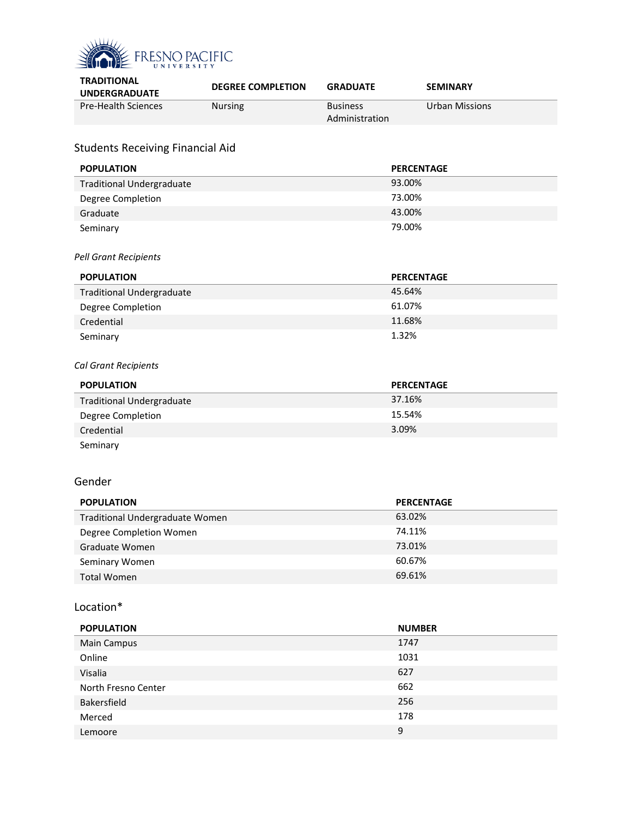

| <b>DEGREE COMPLETION</b> | <b>GRADUATE</b>                                                            | <b>SEMINARY</b>                                                                                                                                            |
|--------------------------|----------------------------------------------------------------------------|------------------------------------------------------------------------------------------------------------------------------------------------------------|
| Nursing                  | <b>Business</b><br>Administration                                          | <b>Urban Missions</b>                                                                                                                                      |
|                          |                                                                            |                                                                                                                                                            |
|                          |                                                                            | <b>PERCENTAGE</b>                                                                                                                                          |
|                          |                                                                            |                                                                                                                                                            |
|                          |                                                                            |                                                                                                                                                            |
|                          |                                                                            |                                                                                                                                                            |
|                          |                                                                            |                                                                                                                                                            |
|                          |                                                                            |                                                                                                                                                            |
|                          |                                                                            | <b>PERCENTAGE</b>                                                                                                                                          |
|                          |                                                                            |                                                                                                                                                            |
|                          |                                                                            |                                                                                                                                                            |
|                          |                                                                            |                                                                                                                                                            |
|                          |                                                                            |                                                                                                                                                            |
|                          |                                                                            |                                                                                                                                                            |
|                          |                                                                            | <b>PERCENTAGE</b>                                                                                                                                          |
|                          |                                                                            |                                                                                                                                                            |
|                          |                                                                            |                                                                                                                                                            |
|                          |                                                                            |                                                                                                                                                            |
|                          |                                                                            |                                                                                                                                                            |
|                          |                                                                            |                                                                                                                                                            |
|                          |                                                                            | <b>PERCENTAGE</b>                                                                                                                                          |
|                          |                                                                            |                                                                                                                                                            |
|                          |                                                                            |                                                                                                                                                            |
|                          |                                                                            |                                                                                                                                                            |
|                          |                                                                            |                                                                                                                                                            |
|                          |                                                                            |                                                                                                                                                            |
|                          | <b>Students Receiving Financial Aid</b><br>Traditional Undergraduate Women | 93.00%<br>73.00%<br>43.00%<br>79.00%<br>45.64%<br>61.07%<br>11.68%<br>1.32%<br>37.16%<br>15.54%<br>3.09%<br>63.02%<br>74.11%<br>73.01%<br>60.67%<br>69.61% |

#### Location\*

| <b>POPULATION</b>   | <b>NUMBER</b> |
|---------------------|---------------|
| <b>Main Campus</b>  | 1747          |
| Online              | 1031          |
| Visalia             | 627           |
| North Fresno Center | 662           |
| Bakersfield         | 256           |
| Merced              | 178           |
| Lemoore             | 9             |